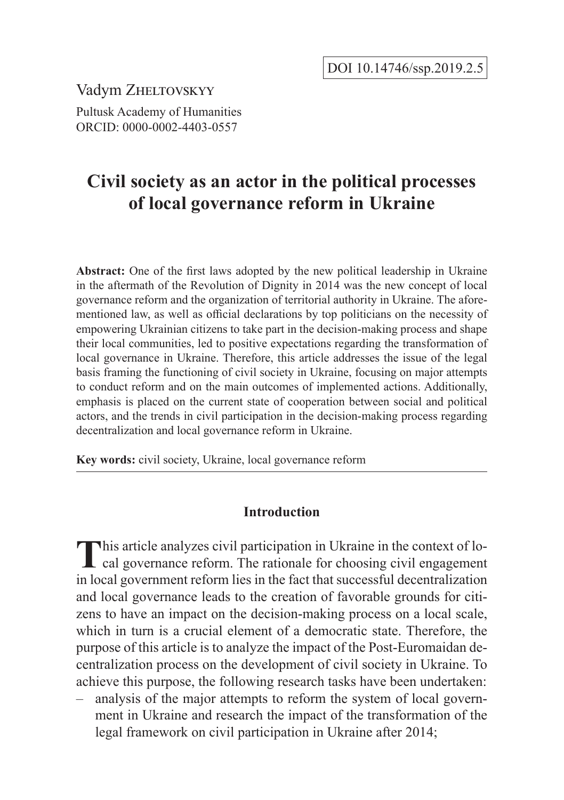Vadym ZHELTOVSKYY

Pultusk Academy of Humanities ORCID: 0000-0002-4403-0557

# **Civil society as an actor in the political processes of local governance reform in Ukraine**

**Abstract:** One of the first laws adopted by the new political leadership in Ukraine in the aftermath of the Revolution of Dignity in 2014 was the new concept of local governance reform and the organization of territorial authority in Ukraine. The aforementioned law, as well as official declarations by top politicians on the necessity of empowering Ukrainian citizens to take part in the decision-making process and shape their local communities, led to positive expectations regarding the transformation of local governance in Ukraine. Therefore, this article addresses the issue of the legal basis framing the functioning of civil society in Ukraine, focusing on major attempts to conduct reform and on the main outcomes of implemented actions. Additionally, emphasis is placed on the current state of cooperation between social and political actors, and the trends in civil participation in the decision-making process regarding decentralization and local governance reform in Ukraine.

**Key words:** civil society, Ukraine, local governance reform

## **Introduction**

This article analyzes civil participation in Ukraine in the context of lo-<br>cal governance reform. The rationale for choosing civil engagement in local government reform lies in the fact that successful decentralization and local governance leads to the creation of favorable grounds for citizens to have an impact on the decision-making process on a local scale, which in turn is a crucial element of a democratic state. Therefore, the purpose of this article is to analyze the impact of the Post-Euromaidan decentralization process on the development of civil society in Ukraine. To achieve this purpose, the following research tasks have been undertaken:

– analysis of the major attempts to reform the system of local government in Ukraine and research the impact of the transformation of the legal framework on civil participation in Ukraine after 2014;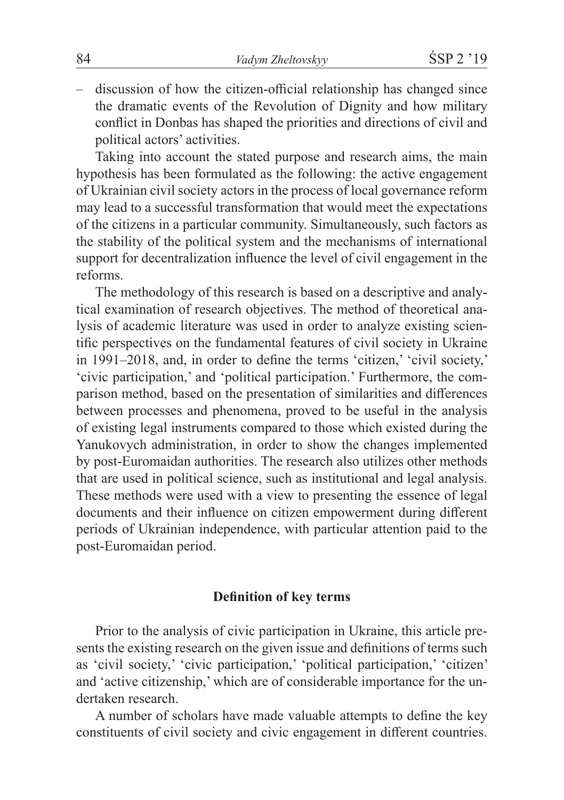– discussion of how the citizen-official relationship has changed since the dramatic events of the Revolution of Dignity and how military conflict in Donbas has shaped the priorities and directions of civil and political actors' activities.

Taking into account the stated purpose and research aims, the main hypothesis has been formulated as the following: the active engagement of Ukrainian civil society actors in the process of local governance reform may lead to a successful transformation that would meet the expectations of the citizens in a particular community. Simultaneously, such factors as the stability of the political system and the mechanisms of international support for decentralization influence the level of civil engagement in the reforms.

The methodology of this research is based on a descriptive and analytical examination of research objectives. The method of theoretical analysis of academic literature was used in order to analyze existing scientific perspectives on the fundamental features of civil society in Ukraine in 1991–2018, and, in order to define the terms 'citizen,' 'civil society,' 'civic participation,' and 'political participation.' Furthermore, the comparison method, based on the presentation of similarities and differences between processes and phenomena, proved to be useful in the analysis of existing legal instruments compared to those which existed during the Yanukovych administration, in order to show the changes implemented by post-Euromaidan authorities. The research also utilizes other methods that are used in political science, such as institutional and legal analysis. These methods were used with a view to presenting the essence of legal documents and their influence on citizen empowerment during different periods of Ukrainian independence, with particular attention paid to the post-Euromaidan period.

# **Definition of key terms**

Prior to the analysis of civic participation in Ukraine, this article presents the existing research on the given issue and definitions of terms such as 'civil society,' 'civic participation,' 'political participation,' 'citizen' and 'active citizenship,' which are of considerable importance for the undertaken research.

A number of scholars have made valuable attempts to define the key constituents of civil society and civic engagement in different countries.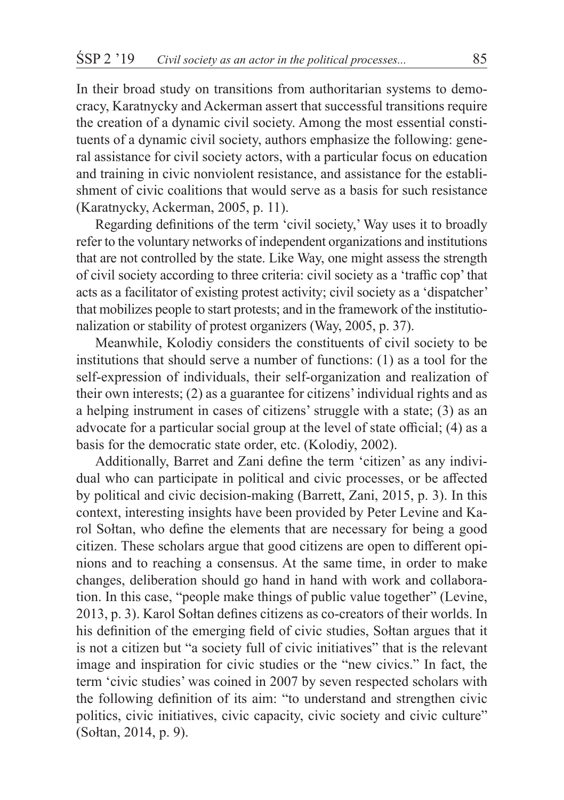In their broad study on transitions from authoritarian systems to democracy, Karatnycky and Ackerman assert that successful transitions require the creation of a dynamic civil society. Among the most essential constituents of a dynamic civil society, authors emphasize the following: general assistance for civil society actors, with a particular focus on education and training in civic nonviolent resistance, and assistance for the establishment of civic coalitions that would serve as a basis for such resistance (Karatnycky, Ackerman, 2005, p. 11).

Regarding definitions of the term 'civil society,' Way uses it to broadly refer to the voluntary networks of independent organizations and institutions that are not controlled by the state. Like Way, one might assess the strength of civil society according to three criteria: civil society as a 'traffic cop' that acts as a facilitator of existing protest activity; civil society as a 'dispatcher' that mobilizes people to start protests; and in the framework of the institutionalization or stability of protest organizers (Way, 2005, p. 37).

Meanwhile, Kolodiy considers the constituents of civil society to be institutions that should serve a number of functions: (1) as a tool for the self-expression of individuals, their self-organization and realization of their own interests; (2) as a guarantee for citizens' individual rights and as a helping instrument in cases of citizens' struggle with a state; (3) as an advocate for a particular social group at the level of state official; (4) as a basis for the democratic state order, etc. (Kolodiy, 2002).

Additionally, Barret and Zani define the term 'citizen' as any individual who can participate in political and civic processes, or be affected by political and civic decision-making (Barrett, Zani, 2015, p. 3). In this context, interesting insights have been provided by Peter Levine and Karol Sołtan, who define the elements that are necessary for being a good citizen. These scholars argue that good citizens are open to different opinions and to reaching a consensus. At the same time, in order to make changes, deliberation should go hand in hand with work and collaboration. In this case, "people make things of public value together" (Levine, 2013, p. 3). Karol Sołtan defines citizens as co-creators of their worlds. In his definition of the emerging field of civic studies, Sołtan argues that it is not a citizen but "a society full of civic initiatives" that is the relevant image and inspiration for civic studies or the "new civics." In fact, the term 'civic studies' was coined in 2007 by seven respected scholars with the following definition of its aim: "to understand and strengthen civic politics, civic initiatives, civic capacity, civic society and civic culture" (Sołtan, 2014, p. 9).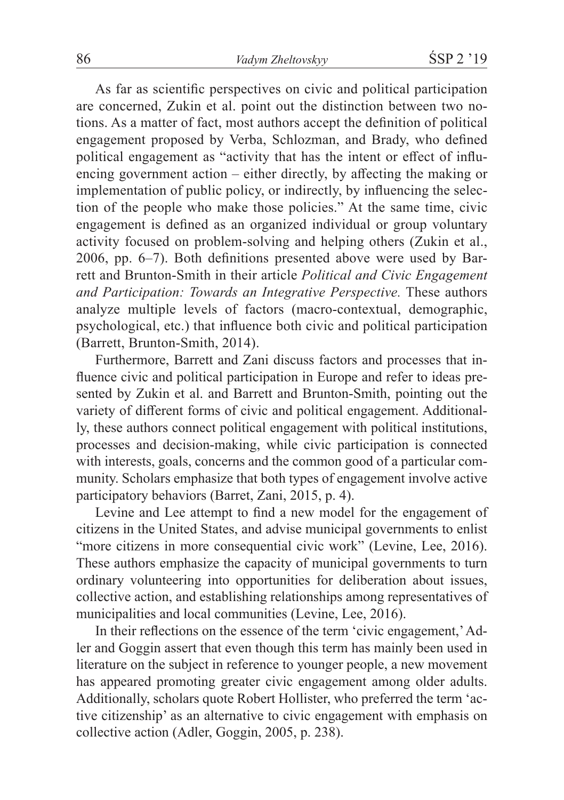As far as scientific perspectives on civic and political participation are concerned, Zukin et al. point out the distinction between two notions. As a matter of fact, most authors accept the definition of political engagement proposed by Verba, Schlozman, and Brady, who defined political engagement as "activity that has the intent or effect of influencing government action – either directly, by affecting the making or implementation of public policy, or indirectly, by influencing the selection of the people who make those policies." At the same time, civic engagement is defined as an organized individual or group voluntary activity focused on problem-solving and helping others (Zukin et al., 2006, pp. 6–7). Both definitions presented above were used by Barrett and Brunton-Smith in their article *Political and Civic Engagement and Participation: Towards an Integrative Perspective.* These authors analyze multiple levels of factors (macro-contextual, demographic, psychological, etc.) that influence both civic and political participation (Barrett, Brunton-Smith, 2014).

Furthermore, Barrett and Zani discuss factors and processes that influence civic and political participation in Europe and refer to ideas presented by Zukin et al. and Barrett and Brunton-Smith, pointing out the variety of different forms of civic and political engagement. Additionally, these authors connect political engagement with political institutions, processes and decision-making, while civic participation is connected with interests, goals, concerns and the common good of a particular community. Scholars emphasize that both types of engagement involve active participatory behaviors (Barret, Zani, 2015, p. 4).

Levine and Lee attempt to find a new model for the engagement of citizens in the United States, and advise municipal governments to enlist "more citizens in more consequential civic work" (Levine, Lee, 2016). These authors emphasize the capacity of municipal governments to turn ordinary volunteering into opportunities for deliberation about issues, collective action, and establishing relationships among representatives of municipalities and local communities (Levine, Lee, 2016).

In their reflections on the essence of the term 'civic engagement,' Adler and Goggin assert that even though this term has mainly been used in literature on the subject in reference to younger people, a new movement has appeared promoting greater civic engagement among older adults. Additionally, scholars quote Robert Hollister, who preferred the term 'active citizenship' as an alternative to civic engagement with emphasis on collective action (Adler, Goggin, 2005, p. 238).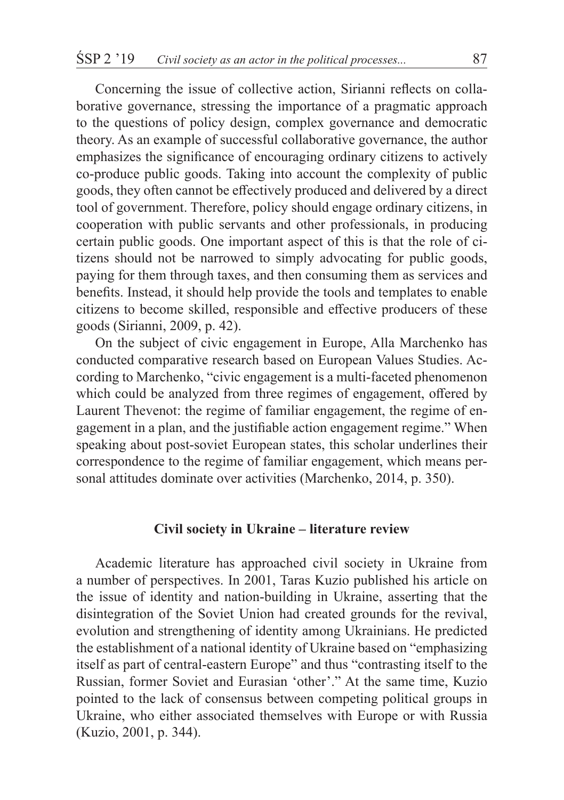Concerning the issue of collective action, Sirianni reflects on collaborative governance, stressing the importance of a pragmatic approach to the questions of policy design, complex governance and democratic theory. As an example of successful collaborative governance, the author emphasizes the significance of encouraging ordinary citizens to actively co-produce public goods. Taking into account the complexity of public goods, they often cannot be effectively produced and delivered by a direct tool of government. Therefore, policy should engage ordinary citizens, in cooperation with public servants and other professionals, in producing certain public goods. One important aspect of this is that the role of citizens should not be narrowed to simply advocating for public goods, paying for them through taxes, and then consuming them as services and benefits. Instead, it should help provide the tools and templates to enable citizens to become skilled, responsible and effective producers of these goods (Sirianni, 2009, p. 42).

On the subject of civic engagement in Europe, Alla Marchenko has conducted comparative research based on European Values Studies. According to Marchenko, "civic engagement is a multi-faceted phenomenon which could be analyzed from three regimes of engagement, offered by Laurent Thevenot: the regime of familiar engagement, the regime of engagement in a plan, and the justifiable action engagement regime." When speaking about post-soviet European states, this scholar underlines their correspondence to the regime of familiar engagement, which means personal attitudes dominate over activities (Marchenko, 2014, p. 350).

## **Civil society in Ukraine – literature review**

Academic literature has approached civil society in Ukraine from a number of perspectives. In 2001, Taras Kuzio published his article on the issue of identity and nation-building in Ukraine, asserting that the disintegration of the Soviet Union had created grounds for the revival, evolution and strengthening of identity among Ukrainians. He predicted the establishment of a national identity of Ukraine based on "emphasizing itself as part of central-eastern Europe" and thus "contrasting itself to the Russian, former Soviet and Eurasian 'other'." At the same time, Kuzio pointed to the lack of consensus between competing political groups in Ukraine, who either associated themselves with Europe or with Russia (Kuzio, 2001, p. 344).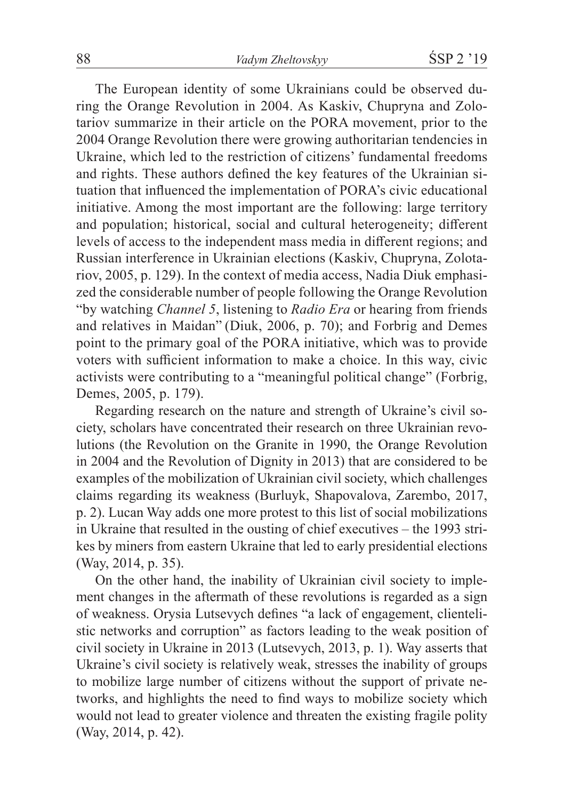The European identity of some Ukrainians could be observed during the Orange Revolution in 2004. As Kaskiv, Chupryna and Zolotariov summarize in their article on the PORA movement, prior to the 2004 Orange Revolution there were growing authoritarian tendencies in Ukraine, which led to the restriction of citizens' fundamental freedoms and rights. These authors defined the key features of the Ukrainian situation that influenced the implementation of PORA's civic educational initiative. Among the most important are the following: large territory and population; historical, social and cultural heterogeneity; different levels of access to the independent mass media in different regions; and Russian interference in Ukrainian elections (Kaskiv, Chupryna, Zolotariov, 2005, p. 129). In the context of media access, Nadia Diuk emphasized the considerable number of people following the Orange Revolution "by watching *Channel 5*, listening to *Radio Era* or hearing from friends and relatives in Maidan" (Diuk, 2006, p. 70); and Forbrig and Demes point to the primary goal of the PORA initiative, which was to provide voters with sufficient information to make a choice. In this way, civic activists were contributing to a "meaningful political change" (Forbrig, Demes, 2005, p. 179).

Regarding research on the nature and strength of Ukraine's civil society, scholars have concentrated their research on three Ukrainian revolutions (the Revolution on the Granite in 1990, the Orange Revolution in 2004 and the Revolution of Dignity in 2013) that are considered to be examples of the mobilization of Ukrainian civil society, which challenges claims regarding its weakness (Burluyk, Shapovalova, Zarembo, 2017, p. 2). Lucan Way adds one more protest to this list of social mobilizations in Ukraine that resulted in the ousting of chief executives – the 1993 strikes by miners from eastern Ukraine that led to early presidential elections (Way, 2014, p. 35).

On the other hand, the inability of Ukrainian civil society to implement changes in the aftermath of these revolutions is regarded as a sign of weakness. Orysia Lutsevych defines "a lack of engagement, clientelistic networks and corruption" as factors leading to the weak position of civil society in Ukraine in 2013 (Lutsevych, 2013, p. 1). Way asserts that Ukraine's civil society is relatively weak, stresses the inability of groups to mobilize large number of citizens without the support of private networks, and highlights the need to find ways to mobilize society which would not lead to greater violence and threaten the existing fragile polity (Way, 2014, p. 42).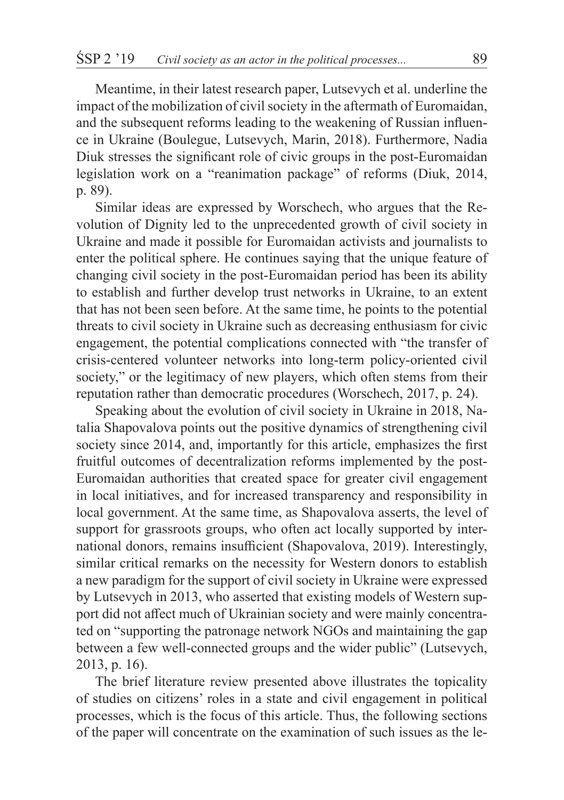Meantime, in their latest research paper, Lutsevych et al. underline the impact of the mobilization of civil society in the aftermath of Euromaidan, and the subsequent reforms leading to the weakening of Russian influence in Ukraine (Boulegue, Lutsevych, Marin, 2018). Furthermore, Nadia Diuk stresses the significant role of civic groups in the post-Euromaidan legislation work on a "reanimation package" of reforms (Diuk, 2014, p. 89).

Similar ideas are expressed by Worschech, who argues that the Revolution of Dignity led to the unprecedented growth of civil society in Ukraine and made it possible for Euromaidan activists and journalists to enter the political sphere. He continues saying that the unique feature of changing civil society in the post-Euromaidan period has been its ability to establish and further develop trust networks in Ukraine, to an extent that has not been seen before. At the same time, he points to the potential threats to civil society in Ukraine such as decreasing enthusiasm for civic engagement, the potential complications connected with "the transfer of crisis-centered volunteer networks into long-term policy-oriented civil society," or the legitimacy of new players, which often stems from their reputation rather than democratic procedures (Worschech, 2017, p. 24).

Speaking about the evolution of civil society in Ukraine in 2018, Natalia Shapovalova points out the positive dynamics of strengthening civil society since 2014, and, importantly for this article, emphasizes the first fruitful outcomes of decentralization reforms implemented by the post-Euromaidan authorities that created space for greater civil engagement in local initiatives, and for increased transparency and responsibility in local government. At the same time, as Shapovalova asserts, the level of support for grassroots groups, who often act locally supported by international donors, remains insufficient (Shapovalova, 2019). Interestingly, similar critical remarks on the necessity for Western donors to establish a new paradigm for the support of civil society in Ukraine were expressed by Lutsevych in 2013, who asserted that existing models of Western support did not affect much of Ukrainian society and were mainly concentrated on "supporting the patronage network NGOs and maintaining the gap between a few well-connected groups and the wider public" (Lutsevych, 2013, p. 16).

The brief literature review presented above illustrates the topicality of studies on citizens' roles in a state and civil engagement in political processes, which is the focus of this article. Thus, the following sections of the paper will concentrate on the examination of such issues as the le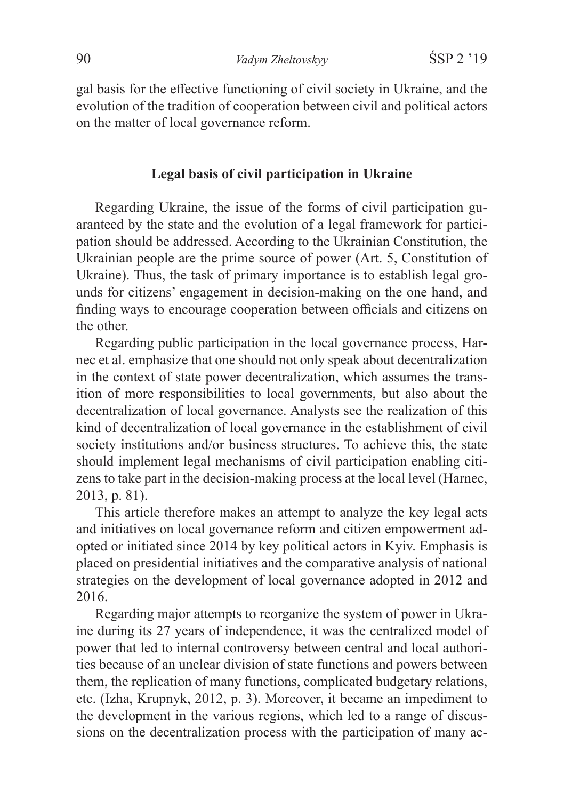gal basis for the effective functioning of civil society in Ukraine, and the evolution of the tradition of cooperation between civil and political actors on the matter of local governance reform.

#### **Legal basis of civil participation in Ukraine**

Regarding Ukraine, the issue of the forms of civil participation guaranteed by the state and the evolution of a legal framework for participation should be addressed. According to the Ukrainian Constitution, the Ukrainian people are the prime source of power (Art. 5, Constitution of Ukraine). Thus, the task of primary importance is to establish legal grounds for citizens' engagement in decision-making on the one hand, and finding ways to encourage cooperation between officials and citizens on the other.

Regarding public participation in the local governance process, Harnec et al. emphasize that one should not only speak about decentralization in the context of state power decentralization, which assumes the transition of more responsibilities to local governments, but also about the decentralization of local governance. Analysts see the realization of this kind of decentralization of local governance in the establishment of civil society institutions and/or business structures. To achieve this, the state should implement legal mechanisms of civil participation enabling citizens to take part in the decision-making process at the local level (Harnec, 2013, p. 81).

This article therefore makes an attempt to analyze the key legal acts and initiatives on local governance reform and citizen empowerment adopted or initiated since 2014 by key political actors in Kyiv. Emphasis is placed on presidential initiatives and the comparative analysis of national strategies on the development of local governance adopted in 2012 and 2016.

Regarding major attempts to reorganize the system of power in Ukraine during its 27 years of independence, it was the centralized model of power that led to internal controversy between central and local authorities because of an unclear division of state functions and powers between them, the replication of many functions, complicated budgetary relations, etc. (Izha, Krupnyk, 2012, p. 3). Moreover, it became an impediment to the development in the various regions, which led to a range of discussions on the decentralization process with the participation of many ac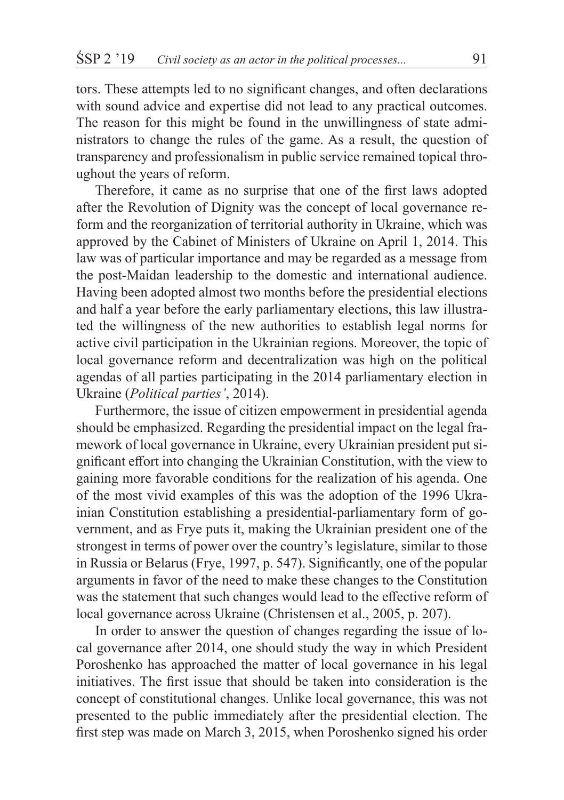tors. These attempts led to no significant changes, and often declarations with sound advice and expertise did not lead to any practical outcomes. The reason for this might be found in the unwillingness of state administrators to change the rules of the game. As a result, the question of transparency and professionalism in public service remained topical throughout the years of reform.

Therefore, it came as no surprise that one of the first laws adopted after the Revolution of Dignity was the concept of local governance reform and the reorganization of territorial authority in Ukraine, which was approved by the Cabinet of Ministers of Ukraine on April 1, 2014. This law was of particular importance and may be regarded as a message from the post-Maidan leadership to the domestic and international audience. Having been adopted almost two months before the presidential elections and half a year before the early parliamentary elections, this law illustrated the willingness of the new authorities to establish legal norms for active civil participation in the Ukrainian regions. Moreover, the topic of local governance reform and decentralization was high on the political agendas of all parties participating in the 2014 parliamentary election in Ukraine (*Political parties'*, 2014).

Furthermore, the issue of citizen empowerment in presidential agenda should be emphasized. Regarding the presidential impact on the legal framework of local governance in Ukraine, every Ukrainian president put significant effort into changing the Ukrainian Constitution, with the view to gaining more favorable conditions for the realization of his agenda. One of the most vivid examples of this was the adoption of the 1996 Ukrainian Constitution establishing a presidential-parliamentary form of government, and as Frye puts it, making the Ukrainian president one of the strongest in terms of power over the country's legislature, similar to those in Russia or Belarus (Frye, 1997, p. 547). Significantly, one of the popular arguments in favor of the need to make these changes to the Constitution was the statement that such changes would lead to the effective reform of local governance across Ukraine (Christensen et al., 2005, p. 207).

In order to answer the question of changes regarding the issue of local governance after 2014, one should study the way in which President Poroshenko has approached the matter of local governance in his legal initiatives. The first issue that should be taken into consideration is the concept of constitutional changes. Unlike local governance, this was not presented to the public immediately after the presidential election. The first step was made on March 3, 2015, when Poroshenko signed his order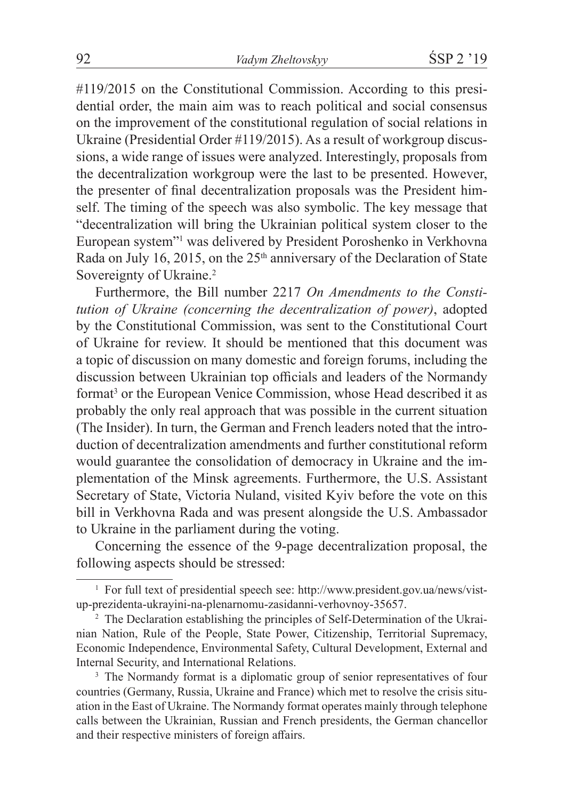#119/2015 on the Constitutional Commission. According to this presidential order, the main aim was to reach political and social consensus on the improvement of the constitutional regulation of social relations in Ukraine (Presidential Order #119/2015). As a result of workgroup discussions, a wide range of issues were analyzed. Interestingly, proposals from the decentralization workgroup were the last to be presented. However, the presenter of final decentralization proposals was the President himself. The timing of the speech was also symbolic. The key message that "decentralization will bring the Ukrainian political system closer to the European system"<sup>1</sup> was delivered by President Poroshenko in Verkhovna Rada on July 16, 2015, on the 25<sup>th</sup> anniversary of the Declaration of State Sovereignty of Ukraine.<sup>2</sup>

Furthermore, the Bill number 2217 *On Amendments to the Constitution of Ukraine (concerning the decentralization of power)*, adopted by the Constitutional Commission, was sent to the Constitutional Court of Ukraine for review. It should be mentioned that this document was a topic of discussion on many domestic and foreign forums, including the discussion between Ukrainian top officials and leaders of the Normandy format<sup>3</sup> or the European Venice Commission, whose Head described it as probably the only real approach that was possible in the current situation (The Insider). In turn, the German and French leaders noted that the introduction of decentralization amendments and further constitutional reform would guarantee the consolidation of democracy in Ukraine and the implementation of the Minsk agreements. Furthermore, the U.S. Assistant Secretary of State, Victoria Nuland, visited Kyiv before the vote on this bill in Verkhovna Rada and was present alongside the U.S. Ambassador to Ukraine in the parliament during the voting.

Concerning the essence of the 9-page decentralization proposal, the following aspects should be stressed:

<sup>1</sup> For full text of presidential speech see: http://www.president.gov.ua/news/vistup-prezidenta-ukrayini-na-plenarnomu-zasidanni-verhovnoy-35657.

<sup>&</sup>lt;sup>2</sup> The Declaration establishing the principles of Self-Determination of the Ukrainian Nation, Rule of the People, State Power, Citizenship, Territorial Supremacy, Economic Independence, Environmental Safety, Cultural Development, External and Internal Security, and International Relations.

<sup>&</sup>lt;sup>3</sup> The Normandy format is a diplomatic group of senior representatives of four countries (Germany, Russia, Ukraine and France) which met to resolve the crisis situation in the East of Ukraine. The Normandy format operates mainly through telephone calls between the Ukrainian, Russian and French presidents, the German chancellor and their respective ministers of foreign affairs.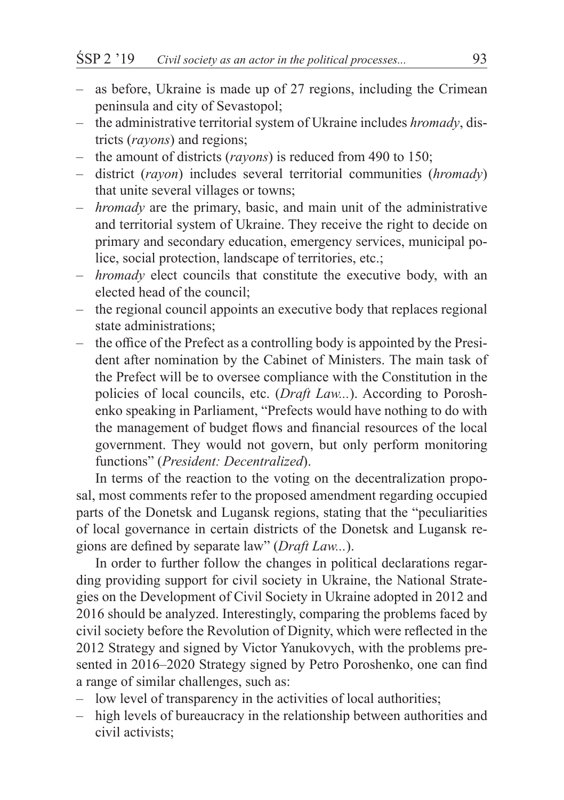- as before, Ukraine is made up of 27 regions, including the Crimean peninsula and city of Sevastopol;
- the administrative territorial system of Ukraine includes *hromady*, districts (*rayons*) and regions;
- the amount of districts (*rayons*) is reduced from 490 to 150;
- district (*rayon*) includes several territorial communities (*hromady*) that unite several villages or towns;
- *hromady* are the primary, basic, and main unit of the administrative and territorial system of Ukraine. They receive the right to decide on primary and secondary education, emergency services, municipal police, social protection, landscape of territories, etc.;
- *hromady* elect councils that constitute the executive body, with an elected head of the council;
- the regional council appoints an executive body that replaces regional state administrations;
- the office of the Prefect as a controlling body is appointed by the President after nomination by the Cabinet of Ministers. The main task of the Prefect will be to oversee compliance with the Constitution in the policies of local councils, etc. (*Draft Law...*). According to Poroshenko speaking in Parliament, "Prefects would have nothing to do with the management of budget flows and financial resources of the local government. They would not govern, but only perform monitoring functions" (*President: Decentralized*).

In terms of the reaction to the voting on the decentralization proposal, most comments refer to the proposed amendment regarding occupied parts of the Donetsk and Lugansk regions, stating that the "peculiarities of local governance in certain districts of the Donetsk and Lugansk regions are defined by separate law" (*Draft Law...*).

In order to further follow the changes in political declarations regarding providing support for civil society in Ukraine, the National Strategies on the Development of Civil Society in Ukraine adopted in 2012 and 2016 should be analyzed. Interestingly, comparing the problems faced by civil society before the Revolution of Dignity, which were reflected in the 2012 Strategy and signed by Victor Yanukovych, with the problems presented in 2016–2020 Strategy signed by Petro Poroshenko, one can find a range of similar challenges, such as:

- low level of transparency in the activities of local authorities;
- high levels of bureaucracy in the relationship between authorities and civil activists;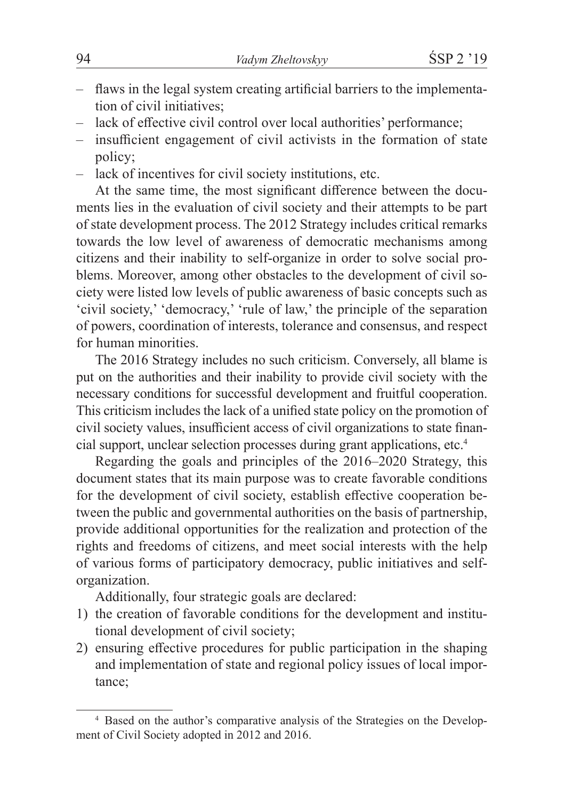- flaws in the legal system creating artificial barriers to the implementation of civil initiatives;
- lack of effective civil control over local authorities' performance;
- insufficient engagement of civil activists in the formation of state policy;
- lack of incentives for civil society institutions, etc.

At the same time, the most significant difference between the documents lies in the evaluation of civil society and their attempts to be part of state development process. The 2012 Strategy includes critical remarks towards the low level of awareness of democratic mechanisms among citizens and their inability to self-organize in order to solve social problems. Moreover, among other obstacles to the development of civil society were listed low levels of public awareness of basic concepts such as 'civil society,' 'democracy,' 'rule of law,' the principle of the separation of powers, coordination of interests, tolerance and consensus, and respect for human minorities.

The 2016 Strategy includes no such criticism. Conversely, all blame is put on the authorities and their inability to provide civil society with the necessary conditions for successful development and fruitful cooperation. This criticism includes the lack of a unified state policy on the promotion of civil society values, insufficient access of civil organizations to state financial support, unclear selection processes during grant applications, etc.<sup>4</sup>

Regarding the goals and principles of the 2016–2020 Strategy, this document states that its main purpose was to create favorable conditions for the development of civil society, establish effective cooperation between the public and governmental authorities on the basis of partnership, provide additional opportunities for the realization and protection of the rights and freedoms of citizens, and meet social interests with the help of various forms of participatory democracy, public initiatives and selforganization.

Additionally, four strategic goals are declared:

- 1) the creation of favorable conditions for the development and institutional development of civil society;
- 2) ensuring effective procedures for public participation in the shaping and implementation of state and regional policy issues of local importance;

<sup>4</sup> Based on the author's comparative analysis of the Strategies on the Development of Civil Society adopted in 2012 and 2016.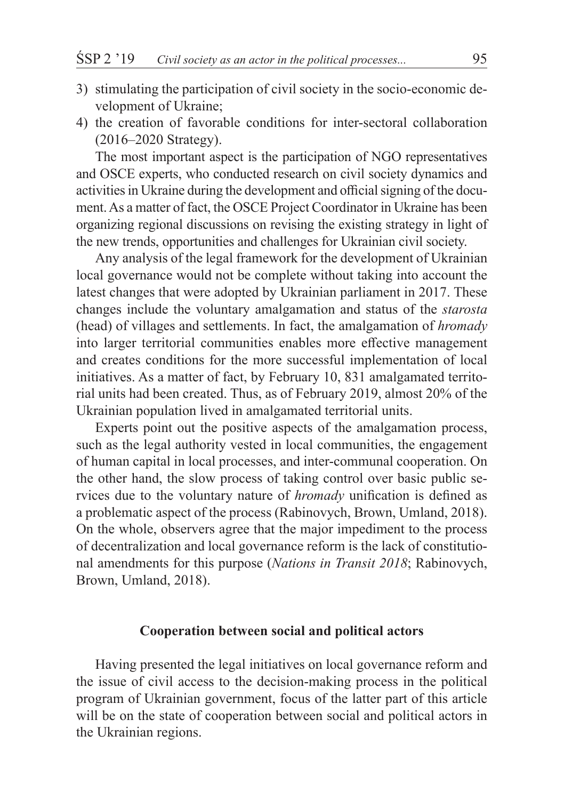- 3) stimulating the participation of civil society in the socio-economic development of Ukraine;
- 4) the creation of favorable conditions for inter-sectoral collaboration (2016–2020 Strategy).

The most important aspect is the participation of NGO representatives and OSCE experts, who conducted research on civil society dynamics and activities in Ukraine during the development and official signing of the document. As a matter of fact, the OSCE Project Coordinator in Ukraine has been organizing regional discussions on revising the existing strategy in light of the new trends, opportunities and challenges for Ukrainian civil society.

Any analysis of the legal framework for the development of Ukrainian local governance would not be complete without taking into account the latest changes that were adopted by Ukrainian parliament in 2017. These changes include the voluntary amalgamation and status of the *starosta* (head) of villages and settlements. In fact, the amalgamation of *hromady* into larger territorial communities enables more effective management and creates conditions for the more successful implementation of local initiatives. As a matter of fact, by February 10, 831 amalgamated territorial units had been created. Thus, as of February 2019, almost 20% of the Ukrainian population lived in amalgamated territorial units.

Experts point out the positive aspects of the amalgamation process, such as the legal authority vested in local communities, the engagement of human capital in local processes, and inter-communal cooperation. On the other hand, the slow process of taking control over basic public services due to the voluntary nature of *hromady* unification is defined as a problematic aspect of the process (Rabinovych, Brown, Umland, 2018). On the whole, observers agree that the major impediment to the process of decentralization and local governance reform is the lack of constitutional amendments for this purpose (*Nations in Transit 2018*; Rabinovych, Brown, Umland, 2018).

## **Cooperation between social and political actors**

Having presented the legal initiatives on local governance reform and the issue of civil access to the decision-making process in the political program of Ukrainian government, focus of the latter part of this article will be on the state of cooperation between social and political actors in the Ukrainian regions.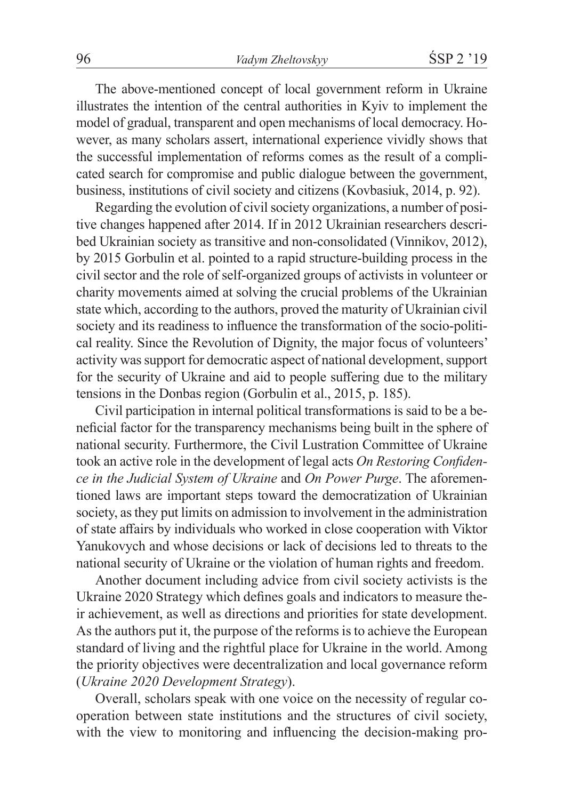The above-mentioned concept of local government reform in Ukraine illustrates the intention of the central authorities in Kyiv to implement the model of gradual, transparent and open mechanisms of local democracy. However, as many scholars assert, international experience vividly shows that the successful implementation of reforms comes as the result of a complicated search for compromise and public dialogue between the government, business, institutions of civil society and citizens (Kovbasiuk, 2014, p. 92).

Regarding the evolution of civil society organizations, a number of positive changes happened after 2014. If in 2012 Ukrainian researchers described Ukrainian society as transitive and non-consolidated (Vinnikov, 2012), by 2015 Gorbulin et al. pointed to a rapid structure-building process in the civil sector and the role of self-organized groups of activists in volunteer or charity movements aimed at solving the crucial problems of the Ukrainian state which, according to the authors, proved the maturity of Ukrainian civil society and its readiness to influence the transformation of the socio-political reality. Since the Revolution of Dignity, the major focus of volunteers' activity was support for democratic aspect of national development, support for the security of Ukraine and aid to people suffering due to the military tensions in the Donbas region (Gorbulin et al., 2015, p. 185).

Civil participation in internal political transformations is said to be a beneficial factor for the transparency mechanisms being built in the sphere of national security. Furthermore, the Civil Lustration Committee of Ukraine took an active role in the development of legal acts *On Restoring Confidence in the Judicial System of Ukraine* and *On Power Purge*. The aforementioned laws are important steps toward the democratization of Ukrainian society, as they put limits on admission to involvement in the administration of state affairs by individuals who worked in close cooperation with Viktor Yanukovych and whose decisions or lack of decisions led to threats to the national security of Ukraine or the violation of human rights and freedom.

Another document including advice from civil society activists is the Ukraine 2020 Strategy which defines goals and indicators to measure their achievement, as well as directions and priorities for state development. As the authors put it, the purpose of the reforms is to achieve the European standard of living and the rightful place for Ukraine in the world. Among the priority objectives were decentralization and local governance reform (*Ukraine 2020 Development Strategy*).

Overall, scholars speak with one voice on the necessity of regular cooperation between state institutions and the structures of civil society, with the view to monitoring and influencing the decision-making pro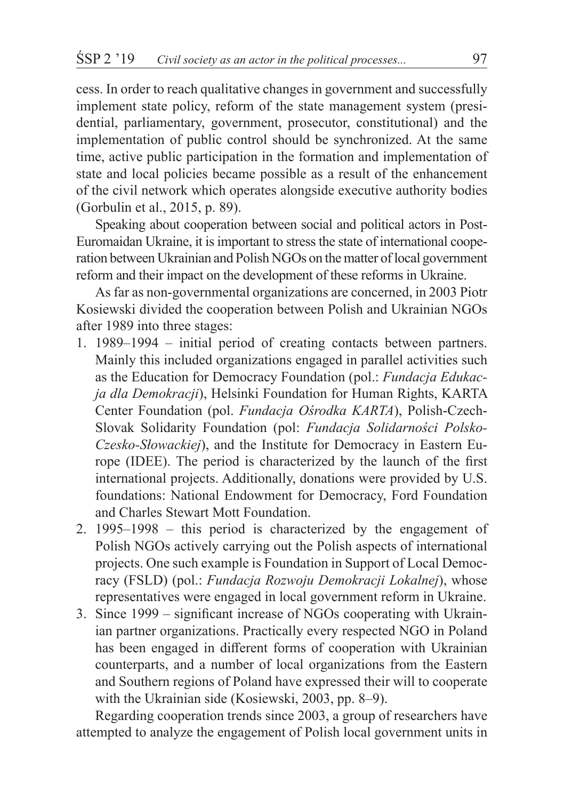cess. In order to reach qualitative changes in government and successfully implement state policy, reform of the state management system (presidential, parliamentary, government, prosecutor, constitutional) and the implementation of public control should be synchronized. At the same time, active public participation in the formation and implementation of state and local policies became possible as a result of the enhancement of the civil network which operates alongside executive authority bodies (Gorbulin et al., 2015, p. 89).

Speaking about cooperation between social and political actors in Post-Euromaidan Ukraine, it is important to stress the state of international cooperation between Ukrainian and Polish NGOs on the matter of local government reform and their impact on the development of these reforms in Ukraine.

As far as non-governmental organizations are concerned, in 2003 Piotr Kosiewski divided the cooperation between Polish and Ukrainian NGOs after 1989 into three stages:

- 1. 1989–1994 initial period of creating contacts between partners. Mainly this included organizations engaged in parallel activities such as the Education for Democracy Foundation (pol.: *Fundacja Edukacja dla Demokracji*), Helsinki Foundation for Human Rights, KARTA Center Foundation (pol. *Fundacja Ośrodka KARTA*), Polish-Czech-Slovak Solidarity Foundation (pol: *Fundacja Solidarności Polsko-Czesko-Słowackiej*), and the Institute for Democracy in Eastern Europe (IDEE). The period is characterized by the launch of the first international projects. Additionally, donations were provided by U.S. foundations: National Endowment for Democracy, Ford Foundation and Charles Stewart Mott Foundation.
- 2. 1995–1998 this period is characterized by the engagement of Polish NGOs actively carrying out the Polish aspects of international projects. One such example is Foundation in Support of Local Democracy (FSLD) (pol.: *Fundacja Rozwoju Demokracji Lokalnej*), whose representatives were engaged in local government reform in Ukraine.
- 3. Since 1999 significant increase of NGOs cooperating with Ukrainian partner organizations. Practically every respected NGO in Poland has been engaged in different forms of cooperation with Ukrainian counterparts, and a number of local organizations from the Eastern and Southern regions of Poland have expressed their will to cooperate with the Ukrainian side (Kosiewski, 2003, pp. 8–9).

Regarding cooperation trends since 2003, a group of researchers have attempted to analyze the engagement of Polish local government units in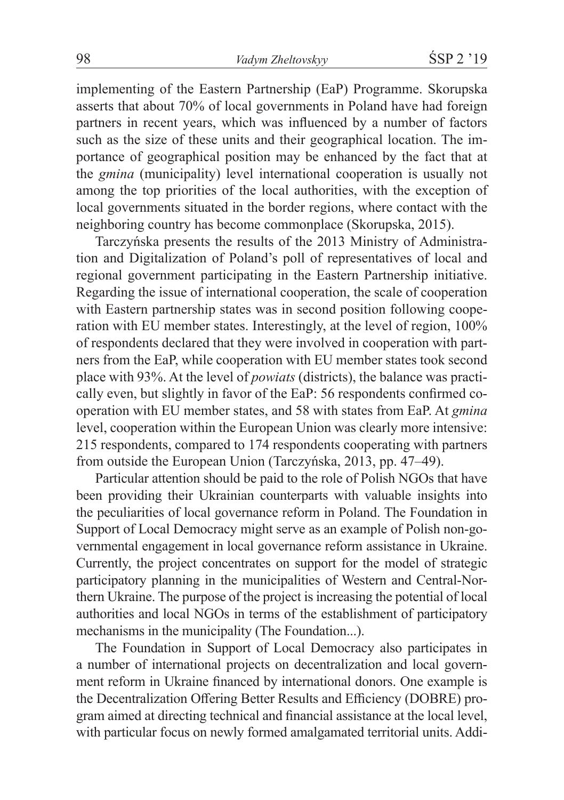implementing of the Eastern Partnership (EaP) Programme. Skorupska asserts that about 70% of local governments in Poland have had foreign partners in recent years, which was influenced by a number of factors such as the size of these units and their geographical location. The importance of geographical position may be enhanced by the fact that at the *gmina* (municipality) level international cooperation is usually not among the top priorities of the local authorities, with the exception of local governments situated in the border regions, where contact with the neighboring country has become commonplace (Skorupska, 2015).

Tarczyńska presents the results of the 2013 Ministry of Administration and Digitalization of Poland's poll of representatives of local and regional government participating in the Eastern Partnership initiative. Regarding the issue of international cooperation, the scale of cooperation with Eastern partnership states was in second position following cooperation with EU member states. Interestingly, at the level of region, 100% of respondents declared that they were involved in cooperation with partners from the EaP, while cooperation with EU member states took second place with 93%. At the level of *powiats* (districts), the balance was practically even, but slightly in favor of the EaP: 56 respondents confirmed cooperation with EU member states, and 58 with states from EaP. At *gmina* level, cooperation within the European Union was clearly more intensive: 215 respondents, compared to 174 respondents cooperating with partners from outside the European Union (Tarczyńska, 2013, pp. 47–49).

Particular attention should be paid to the role of Polish NGOs that have been providing their Ukrainian counterparts with valuable insights into the peculiarities of local governance reform in Poland. The Foundation in Support of Local Democracy might serve as an example of Polish non-governmental engagement in local governance reform assistance in Ukraine. Currently, the project concentrates on support for the model of strategic participatory planning in the municipalities of Western and Central-Northern Ukraine. The purpose of the project is increasing the potential of local authorities and local NGOs in terms of the establishment of participatory mechanisms in the municipality (The Foundation...).

The Foundation in Support of Local Democracy also participates in a number of international projects on decentralization and local government reform in Ukraine financed by international donors. One example is the Decentralization Offering Better Results and Efficiency (DOBRE) program aimed at directing technical and financial assistance at the local level, with particular focus on newly formed amalgamated territorial units. Addi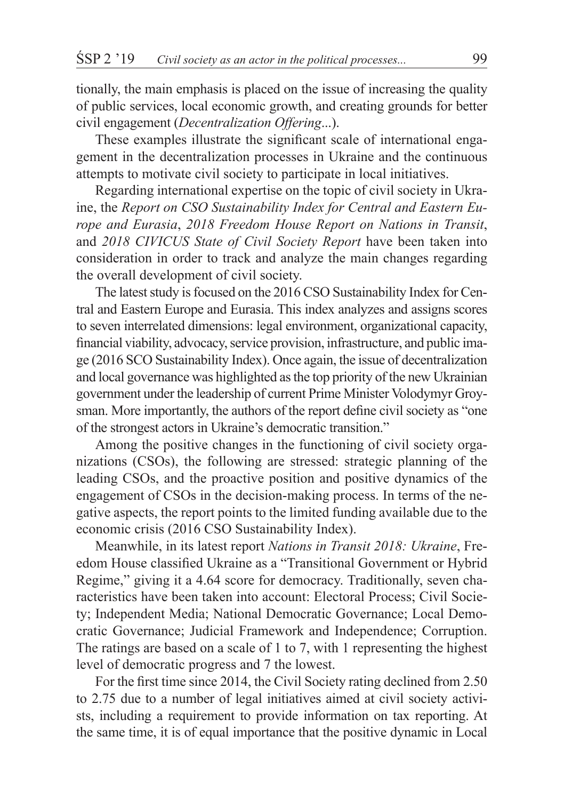tionally, the main emphasis is placed on the issue of increasing the quality of public services, local economic growth, and creating grounds for better civil engagement (*Decentralization Offering*...).

These examples illustrate the significant scale of international engagement in the decentralization processes in Ukraine and the continuous attempts to motivate civil society to participate in local initiatives.

Regarding international expertise on the topic of civil society in Ukraine, the *Report on CSO Sustainability Index for Central and Eastern Europe and Eurasia*, *2018 Freedom House Report on Nations in Transit*, and *2018 CIVICUS State of Civil Society Report* have been taken into consideration in order to track and analyze the main changes regarding the overall development of civil society.

The latest study is focused on the 2016 CSO Sustainability Index for Central and Eastern Europe and Eurasia. This index analyzes and assigns scores to seven interrelated dimensions: legal environment, organizational capacity, financial viability, advocacy, service provision, infrastructure, and public image (2016 SCO Sustainability Index). Once again, the issue of decentralization and local governance was highlighted as the top priority of the new Ukrainian government under the leadership of current Prime Minister Volodymyr Groysman. More importantly, the authors of the report define civil society as "one of the strongest actors in Ukraine's democratic transition."

Among the positive changes in the functioning of civil society organizations (CSOs), the following are stressed: strategic planning of the leading CSOs, and the proactive position and positive dynamics of the engagement of CSOs in the decision-making process. In terms of the negative aspects, the report points to the limited funding available due to the economic crisis (2016 CSO Sustainability Index).

Meanwhile, in its latest report *Nations in Transit 2018: Ukraine*, Freedom House classified Ukraine as a "Transitional Government or Hybrid Regime," giving it a 4.64 score for democracy. Traditionally, seven characteristics have been taken into account: Electoral Process; Civil Society; Independent Media; National Democratic Governance; Local Democratic Governance; Judicial Framework and Independence; Corruption. The ratings are based on a scale of 1 to 7, with 1 representing the highest level of democratic progress and 7 the lowest.

For the first time since 2014, the Civil Society rating declined from 2.50 to 2.75 due to a number of legal initiatives aimed at civil society activists, including a requirement to provide information on tax reporting. At the same time, it is of equal importance that the positive dynamic in Local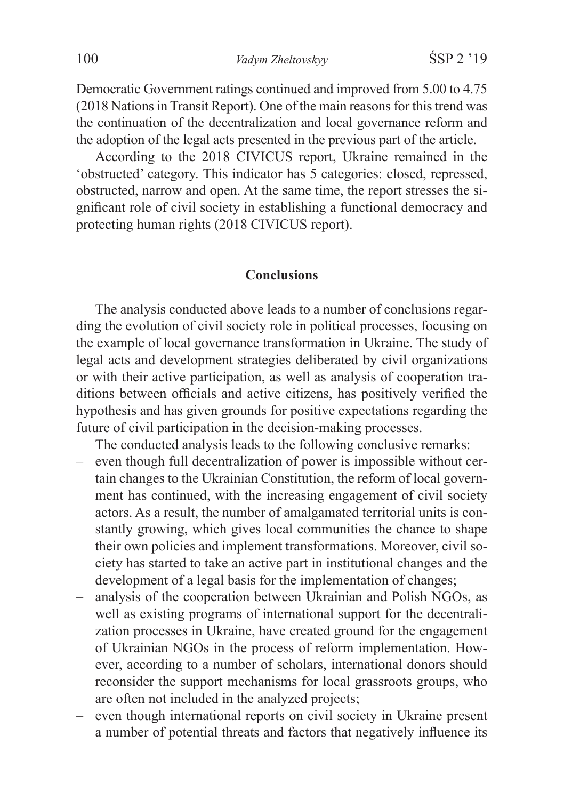Democratic Government ratings continued and improved from 5.00 to 4.75 (2018 Nations in Transit Report). One of the main reasons for this trend was the continuation of the decentralization and local governance reform and the adoption of the legal acts presented in the previous part of the article.

According to the 2018 CIVICUS report, Ukraine remained in the 'obstructed' category. This indicator has 5 categories: closed, repressed, obstructed, narrow and open. At the same time, the report stresses the significant role of civil society in establishing a functional democracy and protecting human rights (2018 CIVICUS report).

## **Conclusions**

The analysis conducted above leads to a number of conclusions regarding the evolution of civil society role in political processes, focusing on the example of local governance transformation in Ukraine. The study of legal acts and development strategies deliberated by civil organizations or with their active participation, as well as analysis of cooperation traditions between officials and active citizens, has positively verified the hypothesis and has given grounds for positive expectations regarding the future of civil participation in the decision-making processes.

The conducted analysis leads to the following conclusive remarks:

- even though full decentralization of power is impossible without certain changes to the Ukrainian Constitution, the reform of local government has continued, with the increasing engagement of civil society actors. As a result, the number of amalgamated territorial units is constantly growing, which gives local communities the chance to shape their own policies and implement transformations. Moreover, civil society has started to take an active part in institutional changes and the development of a legal basis for the implementation of changes;
- analysis of the cooperation between Ukrainian and Polish NGOs, as well as existing programs of international support for the decentralization processes in Ukraine, have created ground for the engagement of Ukrainian NGOs in the process of reform implementation. However, according to a number of scholars, international donors should reconsider the support mechanisms for local grassroots groups, who are often not included in the analyzed projects;
- even though international reports on civil society in Ukraine present a number of potential threats and factors that negatively influence its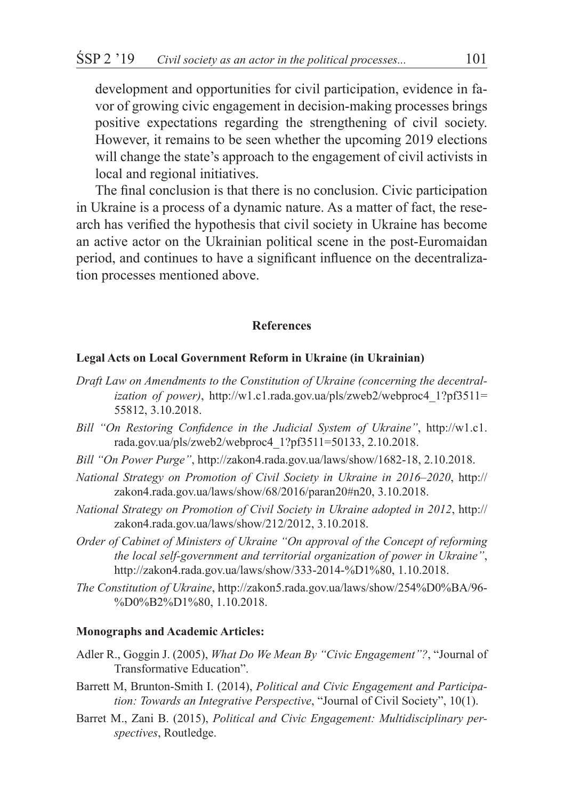development and opportunities for civil participation, evidence in favor of growing civic engagement in decision-making processes brings positive expectations regarding the strengthening of civil society. However, it remains to be seen whether the upcoming 2019 elections will change the state's approach to the engagement of civil activists in local and regional initiatives.

The final conclusion is that there is no conclusion. Civic participation in Ukraine is a process of a dynamic nature. As a matter of fact, the research has verified the hypothesis that civil society in Ukraine has become an active actor on the Ukrainian political scene in the post-Euromaidan period, and continues to have a significant influence on the decentralization processes mentioned above.

## **References**

#### **Legal Acts on Local Government Reform in Ukraine (in Ukrainian)**

- *Draft Law on Amendments to the Constitution of Ukraine (concerning the decentralization of power)*, http://w1.c1.rada.gov.ua/pls/zweb2/webproc4\_1?pf3511= 55812, 3.10.2018.
- *Bill "On Restoring Confidence in the Judicial System of Ukraine"*, http://w1.c1. rada.gov.ua/pls/zweb2/webproc4\_1?pf3511=50133, 2.10.2018.
- *Bill "On Power Purge"*, http://zakon4.rada.gov.ua/laws/show/1682-18, 2.10.2018.
- *National Strategy on Promotion of Civil Society in Ukraine in 2016–2020*, http:// zakon4.rada.gov.ua/laws/show/68/2016/paran20#n20, 3.10.2018.
- *National Strategy on Promotion of Civil Society in Ukraine adopted in 2012*, http:// zakon4.rada.gov.ua/laws/show/212/2012, 3.10.2018.
- *Order of Cabinet of Ministers of Ukraine "On approval of the Concept of reforming the local self-government and territorial organization of power in Ukraine"*, http://zakon4.rada.gov.ua/laws/show/333-2014-%D1%80, 1.10.2018.
- *The Constitution of Ukraine*, http://zakon5.rada.gov.ua/laws/show/254%D0%BA/96- %D0%B2%D1%80, 1.10.2018.

#### **Monographs and Academic Articles:**

- Adler R., Goggin J. (2005), *What Do We Mean By "Civic Engagement"?*, "Journal of Transformative Education".
- Barrett M, Brunton-Smith I. (2014), *Political and Civic Engagement and Participation: Towards an Integrative Perspective*, "Journal of Civil Society", 10(1).
- Barret M., Zani B. (2015), *Political and Civic Engagement: Multidisciplinary perspectives*, Routledge.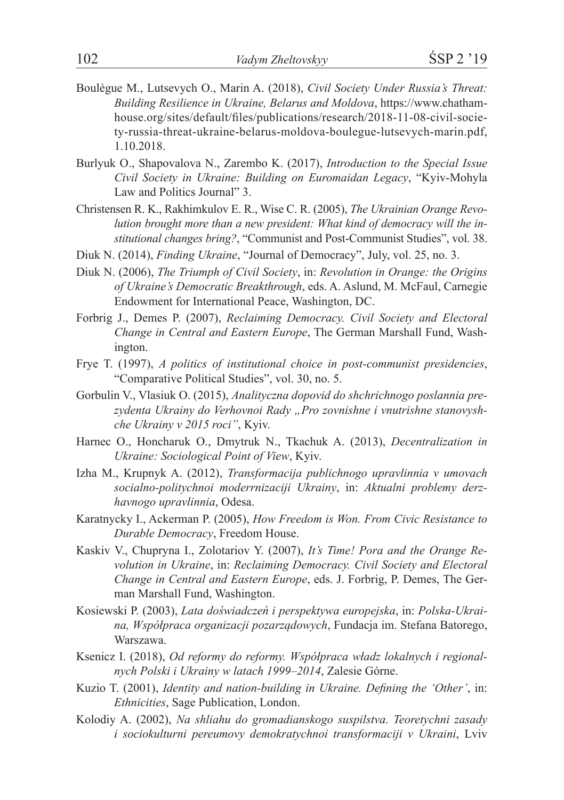- Boulègue M., Lutsevych O., Marin A. (2018), *Civil Society Under Russia's Threat: Building Resilience in Ukraine, Belarus and Moldova*, https://www.chathamhouse.org/sites/default/files/publications/research/2018-11-08-civil-society-russia-threat-ukraine-belarus-moldova-boulegue-lutsevych-marin.pdf, 1.10.2018.
- Burlyuk O., Shapovalova N., Zarembo K. (2017), *Introduction to the Special Issue Civil Society in Ukraine: Building on Euromaidan Legacy*, "Kyiv-Mohyla Law and Politics Journal" 3.
- Christensen R. K., Rakhimkulov E. R., Wise C. R. (2005), *The Ukrainian Orange Revolution brought more than a new president: What kind of democracy will the institutional changes bring?*, "Communist and Post-Communist Studies", vol. 38.
- Diuk N. (2014), *Finding Ukraine*, "Journal of Democracy", July, vol. 25, no. 3.
- Diuk N. (2006), *The Triumph of Civil Society*, in: *Revolution in Orange: the Origins of Ukraine's Democratic Breakthrough*, eds. A. Aslund, M. McFaul, Carnegie Endowment for International Peace, Washington, DC.
- Forbrig J., Demes P. (2007), *Reclaiming Democracy. Civil Society and Electoral Change in Central and Eastern Europe*, The German Marshall Fund, Washington.
- Frye T. (1997), *A politics of institutional choice in post-communist presidencies*, "Comparative Political Studies", vol. 30, no. 5.
- Gorbulin V., Vlasiuk O. (2015), *Analityczna dopovid do shchrichnogo poslannia prezydenta Ukrainy do Verhovnoi Rady "Pro zovnishne i vnutrishne stanovyshche Ukrainy v 2015 roci"*, Kyiv.
- Harnec O., Honcharuk O., Dmytruk N., Tkachuk A. (2013), *Decentralization in Ukraine: Sociological Point of View*, Kyiv.
- Izha M., Krupnyk A. (2012), *Transformacija publichnogo upravlinnia v umovach socialno-politychnoi moderrnizaciji Ukrainy*, in: *Aktualni problemy derzhavnogo upravlinnia*, Odesa.
- Karatnycky I., Ackerman P. (2005), *How Freedom is Won. From Civic Resistance to Durable Democracy*, Freedom House.
- Kaskiv V., Chupryna I., Zolotariov Y. (2007), *It's Time! Pora and the Orange Revolution in Ukraine*, in: *Reclaiming Democracy. Civil Society and Electoral Change in Central and Eastern Europe*, eds. J. Forbrig, P. Demes, The German Marshall Fund, Washington.
- Kosiewski P. (2003), *Lata doświadczeń i perspektywa europejska*, in: *Polska-Ukraina, Współpraca organizacji pozarządowych*, Fundacja im. Stefana Batorego, Warszawa.
- Ksenicz I. (2018), *Od reformy do reformy. Współpraca władz lokalnych i regionalnych Polski i Ukrainy w latach 1999–2014*, Zalesie Górne.
- Kuzio T. (2001), *Identity and nation-building in Ukraine. Defining the 'Other'*, in: *Ethnicities*, Sage Publication, London.
- Kolodiy A. (2002), *Na shliahu do gromadianskogo suspilstva. Teoretychni zasady i sociokulturni pereumovy demokratychnoi transformaciji v Ukraini*, Lviv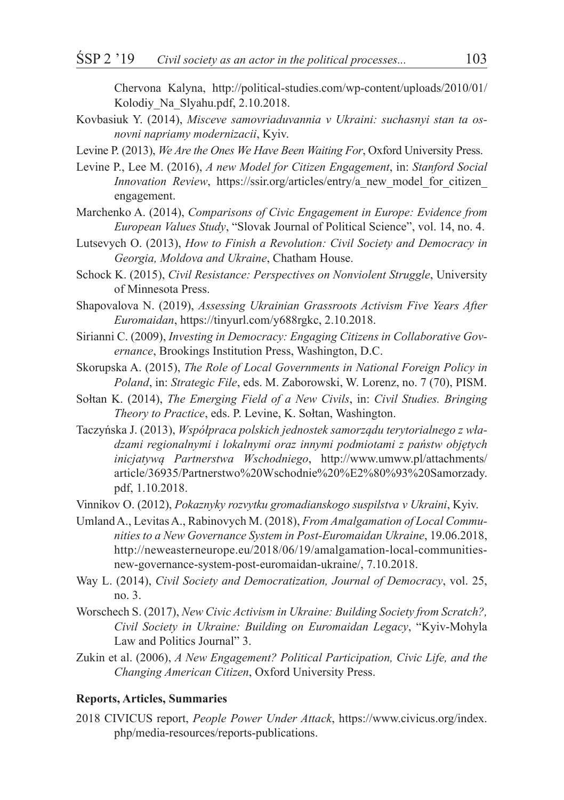Chervona Kalyna, http://political-studies.com/wp-content/uploads/2010/01/ Kolodiy\_Na\_Slyahu.pdf, 2.10.2018.

- Kovbasiuk Y. (2014), *Misceve samovriaduvannia v Ukraini: suchasnyi stan ta osnovni napriamy modernizacii*, Kyiv.
- Levine P. (2013), *We Are the Ones We Have Been Waiting For*, Oxford University Press.
- Levine P., Lee M. (2016), *A new Model for Citizen Engagement*, in: *Stanford Social Innovation Review*, https://ssir.org/articles/entry/a\_new\_model\_for\_citizen\_ engagement.
- Marchenko A. (2014), *Comparisons of Civic Engagement in Europe: Evidence from European Values Study*, "Slovak Journal of Political Science", vol. 14, no. 4.
- Lutsevych O. (2013), *How to Finish a Revolution: Civil Society and Democracy in Georgia, Moldova and Ukraine*, Chatham House.
- Schock K. (2015), *Civil Resistance: Perspectives on Nonviolent Struggle*, University of Minnesota Press.
- Shapovalova N. (2019), *Assessing Ukrainian Grassroots Activism Five Years After Euromaidan*, https://tinyurl.com/y688rgkc, 2.10.2018.
- Sirianni C. (2009), *Investing in Democracy: Engaging Citizens in Collaborative Governance*, Brookings Institution Press, Washington, D.C.
- Skorupska A. (2015), *The Role of Local Governments in National Foreign Policy in Poland*, in: *Strategic File*, eds. M. Zaborowski, W. Lorenz, no. 7 (70), PISM.
- Sołtan K. (2014), *The Emerging Field of a New Civils*, in: *Civil Studies. Bringing Theory to Practice*, eds. P. Levine, K. Sołtan, Washington.
- Taczyńska J. (2013), *Współpraca polskich jednostek samorządu terytorialnego z władzami regionalnymi i lokalnymi oraz innymi podmiotami z państw objętych inicjatywą Partnerstwa Wschodniego*, http://www.umww.pl/attachments/ article/36935/Partnerstwo%20Wschodnie%20%E2%80%93%20Samorzady. pdf, 1.10.2018.
- Vinnikov O. (2012), *Pokaznyky rozvytku gromadianskogo suspilstva v Ukraini*, Kyiv.
- Umland A., Levitas A., Rabinovych M. (2018), *From Amalgamation of Local Communities to a New Governance System in Post-Euromaidan Ukraine*, 19.06.2018, http://neweasterneurope.eu/2018/06/19/amalgamation-local-communitiesnew-governance-system-post-euromaidan-ukraine/, 7.10.2018.
- Way L. (2014), *Civil Society and Democratization, Journal of Democracy*, vol. 25, no. 3.
- Worschech S. (2017), *New Civic Activism in Ukraine: Building Society from Scratch?, Civil Society in Ukraine: Building on Euromaidan Legacy*, "Kyiv-Mohyla Law and Politics Journal" 3.
- Zukin et al. (2006), *A New Engagement? Political Participation, Civic Life, and the Changing American Citizen*, Oxford University Press.

#### **Reports, Articles, Summaries**

2018 CIVICUS report, *People Power Under Attack*, https://www.civicus.org/index. php/media-resources/reports-publications.